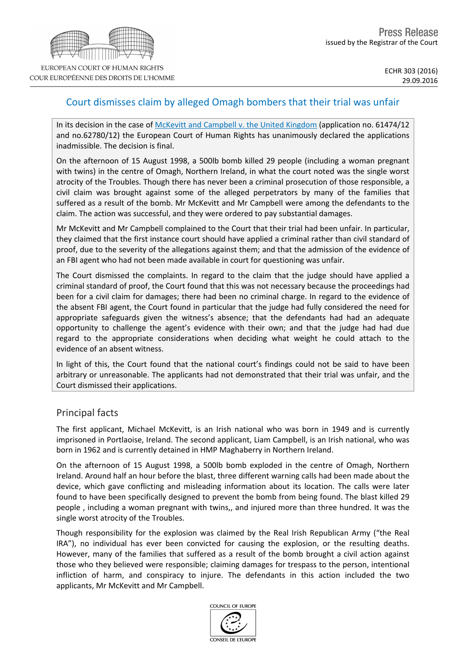# Court dismisses claim by alleged Omagh bombers that their trial was unfair

In its decision in the case of [McKevitt](http://hudoc.echr.coe.int/eng?i=001-167182) [and](http://hudoc.echr.coe.int/eng?i=001-167182) [Campbell](http://hudoc.echr.coe.int/eng?i=001-167182) [v.](http://hudoc.echr.coe.int/eng?i=001-167182) [the](http://hudoc.echr.coe.int/eng?i=001-167182) [United](http://hudoc.echr.coe.int/eng?i=001-167182) [Kingdom](http://hudoc.echr.coe.int/eng?i=001-167182) (application no. 61474/12 and no.62780/12) the European Court of Human Rights has unanimously declared the applications inadmissible. The decision is final.

On the afternoon of 15 August 1998, a 500lb bomb killed 29 people (including a woman pregnant with twins) in the centre of Omagh, Northern Ireland, in what the court noted was the single worst atrocity of the Troubles. Though there has never been a criminal prosecution of those responsible, a civil claim was brought against some of the alleged perpetrators by many of the families that suffered as a result of the bomb. Mr McKevitt and Mr Campbell were among the defendants to the claim. The action was successful, and they were ordered to pay substantial damages.

Mr McKevitt and Mr Campbell complained to the Court that their trial had been unfair. In particular, they claimed that the first instance court should have applied a criminal rather than civil standard of proof, due to the severity of the allegations against them; and that the admission of the evidence of an FBI agent who had not been made available in court for questioning was unfair.

The Court dismissed the complaints. In regard to the claim that the judge should have applied a criminal standard of proof, the Court found that this was not necessary because the proceedings had been for a civil claim for damages; there had been no criminal charge. In regard to the evidence of the absent FBI agent, the Court found in particular that the judge had fully considered the need for appropriate safeguards given the witness's absence; that the defendants had had an adequate opportunity to challenge the agent's evidence with their own; and that the judge had had due regard to the appropriate considerations when deciding what weight he could attach to the evidence of an absent witness.

In light of this, the Court found that the national court's findings could not be said to have been arbitrary or unreasonable. The applicants had not demonstrated that their trial was unfair, and the Court dismissed their applications.

### Principal facts

The first applicant, Michael McKevitt, is an Irish national who was born in 1949 and is currently imprisoned in Portlaoise, Ireland. The second applicant, Liam Campbell, is an Irish national, who was born in 1962 and is currently detained in HMP Maghaberry in Northern Ireland.

On the afternoon of 15 August 1998, a 500lb bomb exploded in the centre of Omagh, Northern Ireland. Around half an hour before the blast, three different warning calls had been made about the device, which gave conflicting and misleading information about its location. The calls were later found to have been specifically designed to prevent the bomb from being found. The blast killed 29 people , including a woman pregnant with twins,, and injured more than three hundred. It was the single worst atrocity of the Troubles.

Though responsibility for the explosion was claimed by the Real Irish Republican Army ("the Real IRA"), no individual has ever been convicted for causing the explosion, or the resulting deaths. However, many of the families that suffered as a result of the bomb brought a civil action against those who they believed were responsible; claiming damages for trespass to the person, intentional infliction of harm, and conspiracy to injure. The defendants in this action included the two applicants, Mr McKevitt and Mr Campbell.

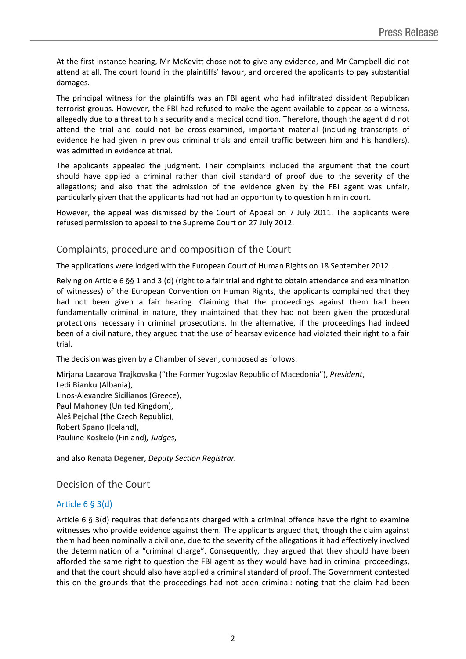At the first instance hearing, Mr McKevitt chose not to give any evidence, and Mr Campbell did not attend at all. The court found in the plaintiffs' favour, and ordered the applicants to pay substantial damages.

The principal witness for the plaintiffs was an FBI agent who had infiltrated dissident Republican terrorist groups. However, the FBI had refused to make the agent available to appear as a witness, allegedly due to a threat to his security and a medical condition. Therefore, though the agent did not attend the trial and could not be cross-examined, important material (including transcripts of evidence he had given in previous criminal trials and email traffic between him and his handlers), was admitted in evidence at trial.

The applicants appealed the judgment. Their complaints included the argument that the court should have applied a criminal rather than civil standard of proof due to the severity of the allegations; and also that the admission of the evidence given by the FBI agent was unfair, particularly given that the applicants had not had an opportunity to question him in court.

However, the appeal was dismissed by the Court of Appeal on 7 July 2011. The applicants were refused permission to appeal to the Supreme Court on 27 July 2012.

## Complaints, procedure and composition of the Court

The applications were lodged with the European Court of Human Rights on 18 September 2012.

Relying on Article 6 §§ 1 and 3 (d) (right to a fair trial and right to obtain attendance and examination of witnesses) of the European Convention on Human Rights, the applicants complained that they had not been given a fair hearing. Claiming that the proceedings against them had been fundamentally criminal in nature, they maintained that they had not been given the procedural protections necessary in criminal prosecutions. In the alternative, if the proceedings had indeed been of a civil nature, they argued that the use of hearsay evidence had violated their right to a fair trial.

The decision was given by a Chamber of seven, composed as follows:

Mirjana **Lazarova Trajkovska** ("the Former Yugoslav Republic of Macedonia"), *President*, Ledi **Bianku** (Albania), Linos-Alexandre **Sicilianos** (Greece), Paul **Mahoney** (United Kingdom), Aleš **Pejchal** (the Czech Republic), Robert **Spano** (Iceland), Pauliine **Koskelo** (Finland)*, Judges*,

and also Renata **Degener**, *Deputy Section Registrar.*

## Decision of the Court

#### Article 6 § 3(d)

Article 6 § 3(d) requires that defendants charged with a criminal offence have the right to examine witnesses who provide evidence against them. The applicants argued that, though the claim against them had been nominally a civil one, due to the severity of the allegations it had effectively involved the determination of a "criminal charge". Consequently, they argued that they should have been afforded the same right to question the FBI agent as they would have had in criminal proceedings, and that the court should also have applied a criminal standard of proof. The Government contested this on the grounds that the proceedings had not been criminal: noting that the claim had been